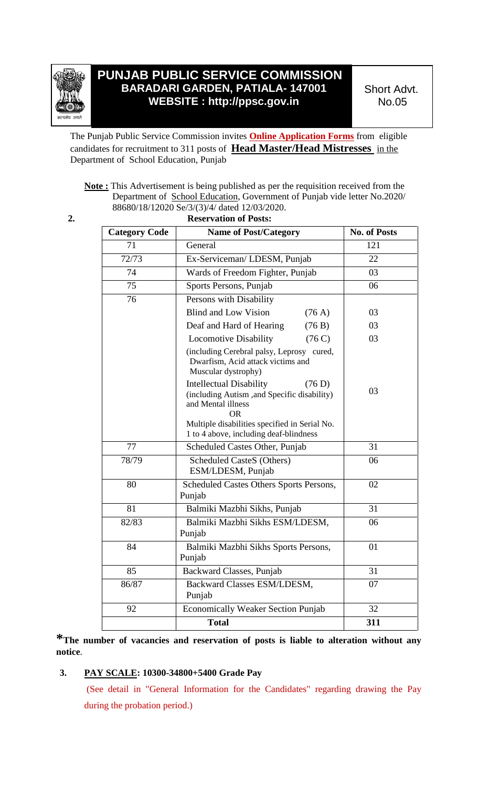

# **PUNJAB PUBLIC SERVICE COMMISSION BARADARI GARDEN, PATIALA- 147001 WEBSITE : http://ppsc.gov.in**

Short Advt. No.05

The Punjab Public Service Commission invites **Online Application Forms** from eligible candidates for recruitment to 311 posts of **Head Master/Head Mistresses** in the Department of School Education, Punjab

## **Note :** This Advertisement is being published as per the requisition received from the Department of School Education, Government of Punjab vide letter No.2020/ 88680/18/12020 Se/3/(3)/4/ dated 12/03/2020.

**2. Reservation of Posts:**

| <b>Category Code</b> | <b>Name of Post/Category</b>                                                                                                                                                | <b>No. of Posts</b> |
|----------------------|-----------------------------------------------------------------------------------------------------------------------------------------------------------------------------|---------------------|
| 71                   | General                                                                                                                                                                     | 121                 |
| 72/73                | Ex-Serviceman/LDESM, Punjab                                                                                                                                                 | 22                  |
| 74                   | Wards of Freedom Fighter, Punjab                                                                                                                                            | 03                  |
| 75                   | Sports Persons, Punjab                                                                                                                                                      | 06                  |
| 76                   | Persons with Disability                                                                                                                                                     |                     |
|                      | <b>Blind and Low Vision</b><br>(76 A)                                                                                                                                       | 03                  |
|                      | Deaf and Hard of Hearing<br>(76 B)                                                                                                                                          | 03                  |
|                      | <b>Locomotive Disability</b><br>(76C)                                                                                                                                       | 03                  |
|                      | (including Cerebral palsy, Leprosy cured,<br>Dwarfism, Acid attack victims and<br>Muscular dystrophy)                                                                       |                     |
|                      | <b>Intellectual Disability</b><br>(76 D)<br>(including Autism, and Specific disability)<br>and Mental illness<br><b>OR</b><br>Multiple disabilities specified in Serial No. | 03                  |
|                      | 1 to 4 above, including deaf-blindness                                                                                                                                      |                     |
| 77                   | Scheduled Castes Other, Punjab                                                                                                                                              | 31                  |
| 78/79                | <b>Scheduled CasteS (Others)</b><br>ESM/LDESM, Punjab                                                                                                                       | 06                  |
| 80                   | Scheduled Castes Others Sports Persons,<br>Punjab                                                                                                                           | 02                  |
| 81                   | Balmiki Mazbhi Sikhs, Punjab                                                                                                                                                | 31                  |
| 82/83                | Balmiki Mazbhi Sikhs ESM/LDESM,<br>Punjab                                                                                                                                   | 06                  |
| 84                   | Balmiki Mazbhi Sikhs Sports Persons,<br>Punjab                                                                                                                              | 01                  |
| 85                   | Backward Classes, Punjab                                                                                                                                                    | 31                  |
| 86/87                | Backward Classes ESM/LDESM,<br>Punjab                                                                                                                                       | 07                  |
| 92                   | <b>Economically Weaker Section Punjab</b>                                                                                                                                   | 32                  |
|                      | <b>Total</b>                                                                                                                                                                | 311                 |

**\*The number of vacancies and reservation of posts is liable to alteration without any notice**.

## **3. PAY SCALE: 10300-34800+5400 Grade Pay**

(See detail in "General Information for the Candidates" regarding drawing the Pay during the probation period.)